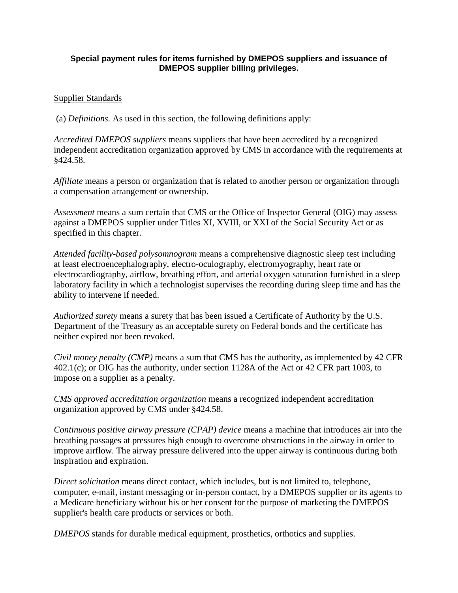## **Special payment rules for items furnished by DMEPOS suppliers and issuance of DMEPOS supplier billing privileges.**

## Supplier Standards

(a) *Definitions.* As used in this section, the following definitions apply:

*Accredited DMEPOS suppliers* means suppliers that have been accredited by a recognized independent accreditation organization approved by CMS in accordance with the requirements at §424.58.

*Affiliate* means a person or organization that is related to another person or organization through a compensation arrangement or ownership.

*Assessment* means a sum certain that CMS or the Office of Inspector General (OIG) may assess against a DMEPOS supplier under Titles XI, XVIII, or XXI of the Social Security Act or as specified in this chapter.

*Attended facility-based polysomnogram* means a comprehensive diagnostic sleep test including at least electroencephalography, electro-oculography, electromyography, heart rate or electrocardiography, airflow, breathing effort, and arterial oxygen saturation furnished in a sleep laboratory facility in which a technologist supervises the recording during sleep time and has the ability to intervene if needed.

*Authorized surety* means a surety that has been issued a Certificate of Authority by the U.S. Department of the Treasury as an acceptable surety on Federal bonds and the certificate has neither expired nor been revoked.

*Civil money penalty (CMP)* means a sum that CMS has the authority, as implemented by 42 CFR 402.1(c); or OIG has the authority, under section 1128A of the Act or 42 CFR part 1003, to impose on a supplier as a penalty.

*CMS approved accreditation organization* means a recognized independent accreditation organization approved by CMS under §424.58.

*Continuous positive airway pressure (CPAP) device* means a machine that introduces air into the breathing passages at pressures high enough to overcome obstructions in the airway in order to improve airflow. The airway pressure delivered into the upper airway is continuous during both inspiration and expiration.

*Direct solicitation* means direct contact, which includes, but is not limited to, telephone, computer, e-mail, instant messaging or in-person contact, by a DMEPOS supplier or its agents to a Medicare beneficiary without his or her consent for the purpose of marketing the DMEPOS supplier's health care products or services or both.

*DMEPOS* stands for durable medical equipment, prosthetics, orthotics and supplies.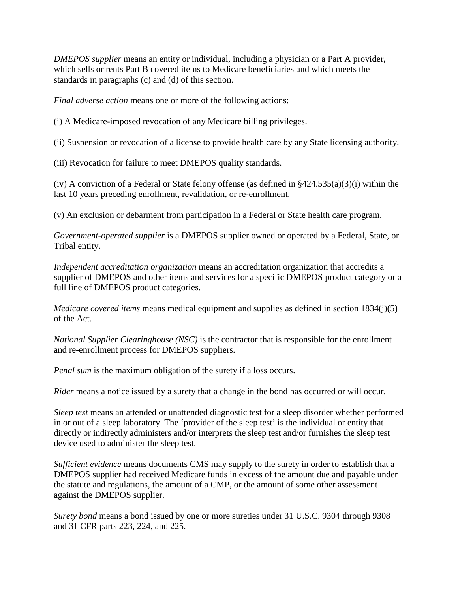*DMEPOS supplier* means an entity or individual, including a physician or a Part A provider, which sells or rents Part B covered items to Medicare beneficiaries and which meets the standards in paragraphs (c) and (d) of this section.

*Final adverse action* means one or more of the following actions:

(i) A Medicare-imposed revocation of any Medicare billing privileges.

(ii) Suspension or revocation of a license to provide health care by any State licensing authority.

(iii) Revocation for failure to meet DMEPOS quality standards.

(iv) A conviction of a Federal or State felony offense (as defined in §424.535(a)(3)(i) within the last 10 years preceding enrollment, revalidation, or re-enrollment.

(v) An exclusion or debarment from participation in a Federal or State health care program.

*Government-operated supplier* is a DMEPOS supplier owned or operated by a Federal, State, or Tribal entity.

*Independent accreditation organization* means an accreditation organization that accredits a supplier of DMEPOS and other items and services for a specific DMEPOS product category or a full line of DMEPOS product categories.

*Medicare covered items* means medical equipment and supplies as defined in section 1834(j)(5) of the Act.

*National Supplier Clearinghouse (NSC)* is the contractor that is responsible for the enrollment and re-enrollment process for DMEPOS suppliers.

*Penal sum* is the maximum obligation of the surety if a loss occurs.

*Rider* means a notice issued by a surety that a change in the bond has occurred or will occur.

*Sleep test* means an attended or unattended diagnostic test for a sleep disorder whether performed in or out of a sleep laboratory. The 'provider of the sleep test' is the individual or entity that directly or indirectly administers and/or interprets the sleep test and/or furnishes the sleep test device used to administer the sleep test.

*Sufficient evidence* means documents CMS may supply to the surety in order to establish that a DMEPOS supplier had received Medicare funds in excess of the amount due and payable under the statute and regulations, the amount of a CMP, or the amount of some other assessment against the DMEPOS supplier.

*Surety bond* means a bond issued by one or more sureties under 31 U.S.C. 9304 through 9308 and 31 CFR parts 223, 224, and 225.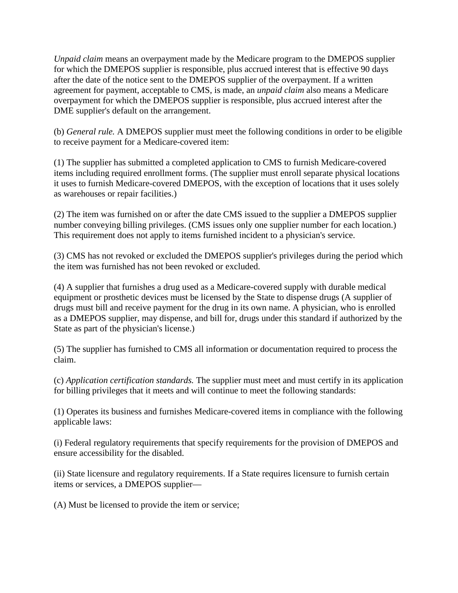*Unpaid claim* means an overpayment made by the Medicare program to the DMEPOS supplier for which the DMEPOS supplier is responsible, plus accrued interest that is effective 90 days after the date of the notice sent to the DMEPOS supplier of the overpayment. If a written agreement for payment, acceptable to CMS, is made, an *unpaid claim* also means a Medicare overpayment for which the DMEPOS supplier is responsible, plus accrued interest after the DME supplier's default on the arrangement.

(b) *General rule.* A DMEPOS supplier must meet the following conditions in order to be eligible to receive payment for a Medicare-covered item:

(1) The supplier has submitted a completed application to CMS to furnish Medicare-covered items including required enrollment forms. (The supplier must enroll separate physical locations it uses to furnish Medicare-covered DMEPOS, with the exception of locations that it uses solely as warehouses or repair facilities.)

(2) The item was furnished on or after the date CMS issued to the supplier a DMEPOS supplier number conveying billing privileges. (CMS issues only one supplier number for each location.) This requirement does not apply to items furnished incident to a physician's service.

(3) CMS has not revoked or excluded the DMEPOS supplier's privileges during the period which the item was furnished has not been revoked or excluded.

(4) A supplier that furnishes a drug used as a Medicare-covered supply with durable medical equipment or prosthetic devices must be licensed by the State to dispense drugs (A supplier of drugs must bill and receive payment for the drug in its own name. A physician, who is enrolled as a DMEPOS supplier, may dispense, and bill for, drugs under this standard if authorized by the State as part of the physician's license.)

(5) The supplier has furnished to CMS all information or documentation required to process the claim.

(c) *Application certification standards.* The supplier must meet and must certify in its application for billing privileges that it meets and will continue to meet the following standards:

(1) Operates its business and furnishes Medicare-covered items in compliance with the following applicable laws:

(i) Federal regulatory requirements that specify requirements for the provision of DMEPOS and ensure accessibility for the disabled.

(ii) State licensure and regulatory requirements. If a State requires licensure to furnish certain items or services, a DMEPOS supplier—

(A) Must be licensed to provide the item or service;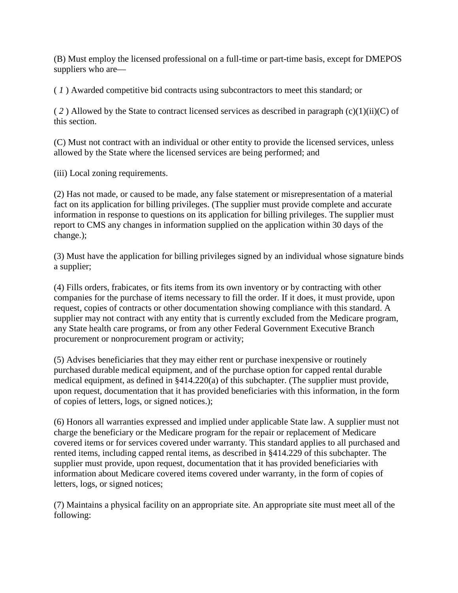(B) Must employ the licensed professional on a full-time or part-time basis, except for DMEPOS suppliers who are—

( *1* ) Awarded competitive bid contracts using subcontractors to meet this standard; or

( *2* ) Allowed by the State to contract licensed services as described in paragraph (c)(1)(ii)(C) of this section.

(C) Must not contract with an individual or other entity to provide the licensed services, unless allowed by the State where the licensed services are being performed; and

(iii) Local zoning requirements.

(2) Has not made, or caused to be made, any false statement or misrepresentation of a material fact on its application for billing privileges. (The supplier must provide complete and accurate information in response to questions on its application for billing privileges. The supplier must report to CMS any changes in information supplied on the application within 30 days of the change.);

(3) Must have the application for billing privileges signed by an individual whose signature binds a supplier;

(4) Fills orders, frabicates, or fits items from its own inventory or by contracting with other companies for the purchase of items necessary to fill the order. If it does, it must provide, upon request, copies of contracts or other documentation showing compliance with this standard. A supplier may not contract with any entity that is currently excluded from the Medicare program, any State health care programs, or from any other Federal Government Executive Branch procurement or nonprocurement program or activity;

(5) Advises beneficiaries that they may either rent or purchase inexpensive or routinely purchased durable medical equipment, and of the purchase option for capped rental durable medical equipment, as defined in §414.220(a) of this subchapter. (The supplier must provide, upon request, documentation that it has provided beneficiaries with this information, in the form of copies of letters, logs, or signed notices.);

(6) Honors all warranties expressed and implied under applicable State law. A supplier must not charge the beneficiary or the Medicare program for the repair or replacement of Medicare covered items or for services covered under warranty. This standard applies to all purchased and rented items, including capped rental items, as described in §414.229 of this subchapter. The supplier must provide, upon request, documentation that it has provided beneficiaries with information about Medicare covered items covered under warranty, in the form of copies of letters, logs, or signed notices;

(7) Maintains a physical facility on an appropriate site. An appropriate site must meet all of the following: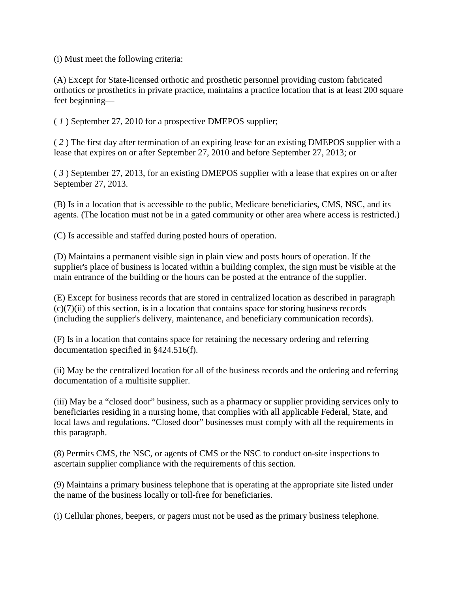(i) Must meet the following criteria:

(A) Except for State-licensed orthotic and prosthetic personnel providing custom fabricated orthotics or prosthetics in private practice, maintains a practice location that is at least 200 square feet beginning—

( *1* ) September 27, 2010 for a prospective DMEPOS supplier;

( *2* ) The first day after termination of an expiring lease for an existing DMEPOS supplier with a lease that expires on or after September 27, 2010 and before September 27, 2013; or

( *3* ) September 27, 2013, for an existing DMEPOS supplier with a lease that expires on or after September 27, 2013.

(B) Is in a location that is accessible to the public, Medicare beneficiaries, CMS, NSC, and its agents. (The location must not be in a gated community or other area where access is restricted.)

(C) Is accessible and staffed during posted hours of operation.

(D) Maintains a permanent visible sign in plain view and posts hours of operation. If the supplier's place of business is located within a building complex, the sign must be visible at the main entrance of the building or the hours can be posted at the entrance of the supplier.

(E) Except for business records that are stored in centralized location as described in paragraph  $(c)(7)(ii)$  of this section, is in a location that contains space for storing business records (including the supplier's delivery, maintenance, and beneficiary communication records).

(F) Is in a location that contains space for retaining the necessary ordering and referring documentation specified in §424.516(f).

(ii) May be the centralized location for all of the business records and the ordering and referring documentation of a multisite supplier.

(iii) May be a "closed door" business, such as a pharmacy or supplier providing services only to beneficiaries residing in a nursing home, that complies with all applicable Federal, State, and local laws and regulations. "Closed door" businesses must comply with all the requirements in this paragraph.

(8) Permits CMS, the NSC, or agents of CMS or the NSC to conduct on-site inspections to ascertain supplier compliance with the requirements of this section.

(9) Maintains a primary business telephone that is operating at the appropriate site listed under the name of the business locally or toll-free for beneficiaries.

(i) Cellular phones, beepers, or pagers must not be used as the primary business telephone.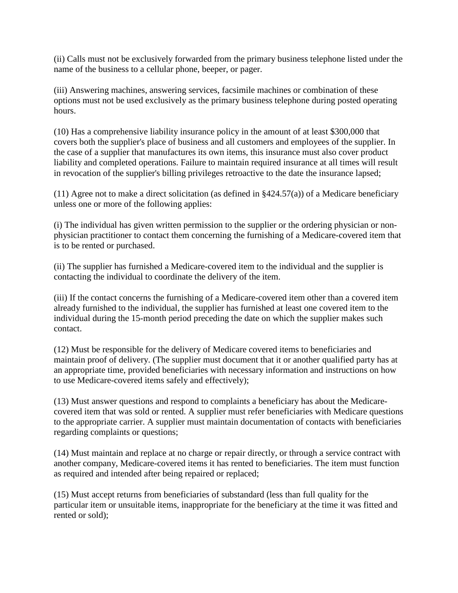(ii) Calls must not be exclusively forwarded from the primary business telephone listed under the name of the business to a cellular phone, beeper, or pager.

(iii) Answering machines, answering services, facsimile machines or combination of these options must not be used exclusively as the primary business telephone during posted operating hours.

(10) Has a comprehensive liability insurance policy in the amount of at least \$300,000 that covers both the supplier's place of business and all customers and employees of the supplier. In the case of a supplier that manufactures its own items, this insurance must also cover product liability and completed operations. Failure to maintain required insurance at all times will result in revocation of the supplier's billing privileges retroactive to the date the insurance lapsed;

(11) Agree not to make a direct solicitation (as defined in §424.57(a)) of a Medicare beneficiary unless one or more of the following applies:

(i) The individual has given written permission to the supplier or the ordering physician or nonphysician practitioner to contact them concerning the furnishing of a Medicare-covered item that is to be rented or purchased.

(ii) The supplier has furnished a Medicare-covered item to the individual and the supplier is contacting the individual to coordinate the delivery of the item.

(iii) If the contact concerns the furnishing of a Medicare-covered item other than a covered item already furnished to the individual, the supplier has furnished at least one covered item to the individual during the 15-month period preceding the date on which the supplier makes such contact.

(12) Must be responsible for the delivery of Medicare covered items to beneficiaries and maintain proof of delivery. (The supplier must document that it or another qualified party has at an appropriate time, provided beneficiaries with necessary information and instructions on how to use Medicare-covered items safely and effectively);

(13) Must answer questions and respond to complaints a beneficiary has about the Medicarecovered item that was sold or rented. A supplier must refer beneficiaries with Medicare questions to the appropriate carrier. A supplier must maintain documentation of contacts with beneficiaries regarding complaints or questions;

(14) Must maintain and replace at no charge or repair directly, or through a service contract with another company, Medicare-covered items it has rented to beneficiaries. The item must function as required and intended after being repaired or replaced;

(15) Must accept returns from beneficiaries of substandard (less than full quality for the particular item or unsuitable items, inappropriate for the beneficiary at the time it was fitted and rented or sold);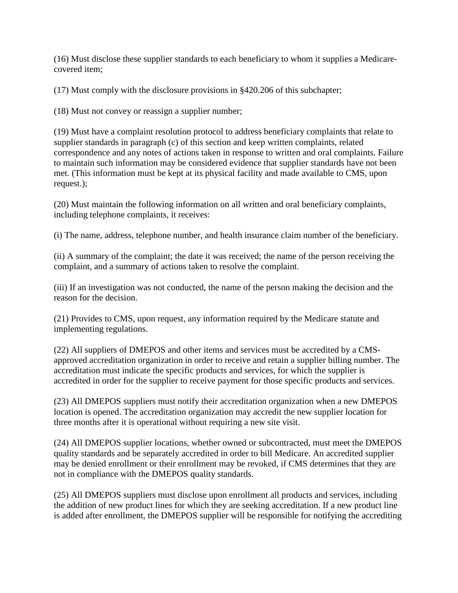(16) Must disclose these supplier standards to each beneficiary to whom it supplies a Medicarecovered item;

(17) Must comply with the disclosure provisions in §420.206 of this subchapter;

(18) Must not convey or reassign a supplier number;

(19) Must have a complaint resolution protocol to address beneficiary complaints that relate to supplier standards in paragraph (c) of this section and keep written complaints, related correspondence and any notes of actions taken in response to written and oral complaints. Failure to maintain such information may be considered evidence that supplier standards have not been met. (This information must be kept at its physical facility and made available to CMS, upon request.);

(20) Must maintain the following information on all written and oral beneficiary complaints, including telephone complaints, it receives:

(i) The name, address, telephone number, and health insurance claim number of the beneficiary.

(ii) A summary of the complaint; the date it was received; the name of the person receiving the complaint, and a summary of actions taken to resolve the complaint.

(iii) If an investigation was not conducted, the name of the person making the decision and the reason for the decision.

(21) Provides to CMS, upon request, any information required by the Medicare statute and implementing regulations.

(22) All suppliers of DMEPOS and other items and services must be accredited by a CMSapproved accreditation organization in order to receive and retain a supplier billing number. The accreditation must indicate the specific products and services, for which the supplier is accredited in order for the supplier to receive payment for those specific products and services.

(23) All DMEPOS suppliers must notify their accreditation organization when a new DMEPOS location is opened. The accreditation organization may accredit the new supplier location for three months after it is operational without requiring a new site visit.

(24) All DMEPOS supplier locations, whether owned or subcontracted, must meet the DMEPOS quality standards and be separately accredited in order to bill Medicare. An accredited supplier may be denied enrollment or their enrollment may be revoked, if CMS determines that they are not in compliance with the DMEPOS quality standards.

(25) All DMEPOS suppliers must disclose upon enrollment all products and services, including the addition of new product lines for which they are seeking accreditation. If a new product line is added after enrollment, the DMEPOS supplier will be responsible for notifying the accrediting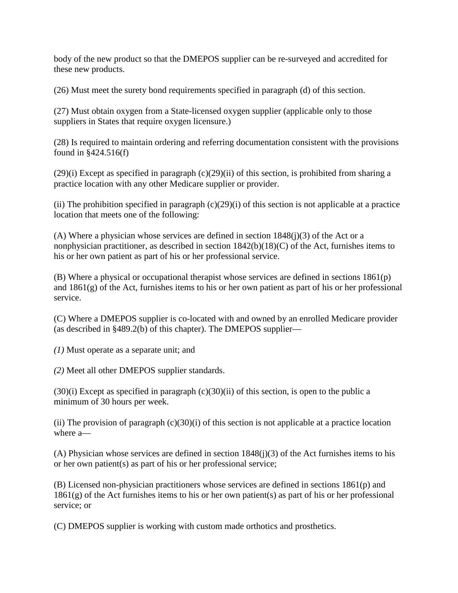body of the new product so that the DMEPOS supplier can be re-surveyed and accredited for these new products.

(26) Must meet the surety bond requirements specified in paragraph (d) of this section.

(27) Must obtain oxygen from a State-licensed oxygen supplier (applicable only to those suppliers in States that require oxygen licensure.)

(28) Is required to maintain ordering and referring documentation consistent with the provisions found in §424.516(f)

(29)(i) Except as specified in paragraph (c)(29)(ii) of this section, is prohibited from sharing a practice location with any other Medicare supplier or provider.

(ii) The prohibition specified in paragraph  $(c)(29)(i)$  of this section is not applicable at a practice location that meets one of the following:

(A) Where a physician whose services are defined in section  $1848(i)(3)$  of the Act or a nonphysician practitioner, as described in section 1842(b)(18)(C) of the Act, furnishes items to his or her own patient as part of his or her professional service.

(B) Where a physical or occupational therapist whose services are defined in sections 1861(p) and 1861(g) of the Act, furnishes items to his or her own patient as part of his or her professional service.

(C) Where a DMEPOS supplier is co-located with and owned by an enrolled Medicare provider (as described in §489.2(b) of this chapter). The DMEPOS supplier—

*(1)* Must operate as a separate unit; and

*(2)* Meet all other DMEPOS supplier standards.

 $(30)(i)$  Except as specified in paragraph  $(c)(30)(ii)$  of this section, is open to the public a minimum of 30 hours per week.

(ii) The provision of paragraph  $(c)(30)(i)$  of this section is not applicable at a practice location where a—

(A) Physician whose services are defined in section 1848(j)(3) of the Act furnishes items to his or her own patient(s) as part of his or her professional service;

(B) Licensed non-physician practitioners whose services are defined in sections 1861(p) and  $1861(g)$  of the Act furnishes items to his or her own patient(s) as part of his or her professional service; or

(C) DMEPOS supplier is working with custom made orthotics and prosthetics.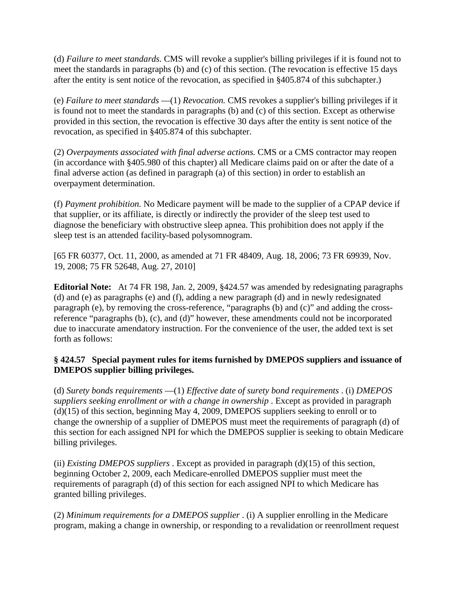(d) *Failure to meet standards.* CMS will revoke a supplier's billing privileges if it is found not to meet the standards in paragraphs (b) and (c) of this section. (The revocation is effective 15 days after the entity is sent notice of the revocation, as specified in §405.874 of this subchapter.)

(e) *Failure to meet standards* —(1) *Revocation.* CMS revokes a supplier's billing privileges if it is found not to meet the standards in paragraphs (b) and (c) of this section. Except as otherwise provided in this section, the revocation is effective 30 days after the entity is sent notice of the revocation, as specified in §405.874 of this subchapter.

(2) *Overpayments associated with final adverse actions.* CMS or a CMS contractor may reopen (in accordance with §405.980 of this chapter) all Medicare claims paid on or after the date of a final adverse action (as defined in paragraph (a) of this section) in order to establish an overpayment determination.

(f) *Payment prohibition.* No Medicare payment will be made to the supplier of a CPAP device if that supplier, or its affiliate, is directly or indirectly the provider of the sleep test used to diagnose the beneficiary with obstructive sleep apnea. This prohibition does not apply if the sleep test is an attended facility-based polysomnogram.

[65 FR 60377, Oct. 11, 2000, as amended at 71 FR 48409, Aug. 18, 2006; 73 FR 69939, Nov. 19, 2008; 75 FR 52648, Aug. 27, 2010]

**Editorial Note:** At 74 FR 198, Jan. 2, 2009, §424.57 was amended by redesignating paragraphs (d) and (e) as paragraphs (e) and (f), adding a new paragraph (d) and in newly redesignated paragraph (e), by removing the cross-reference, "paragraphs (b) and (c)" and adding the crossreference "paragraphs (b), (c), and (d)" however, these amendments could not be incorporated due to inaccurate amendatory instruction. For the convenience of the user, the added text is set forth as follows:

## **§ 424.57 Special payment rules for items furnished by DMEPOS suppliers and issuance of DMEPOS supplier billing privileges.**

(d) *Surety bonds requirements* —(1) *Effective date of surety bond requirements* . (i) *DMEPOS suppliers seeking enrollment or with a change in ownership*. Except as provided in paragraph  $(d)(15)$  of this section, beginning May 4, 2009, DMEPOS suppliers seeking to enroll or to change the ownership of a supplier of DMEPOS must meet the requirements of paragraph (d) of this section for each assigned NPI for which the DMEPOS supplier is seeking to obtain Medicare billing privileges.

(ii) *Existing DMEPOS suppliers* . Except as provided in paragraph (d)(15) of this section, beginning October 2, 2009, each Medicare-enrolled DMEPOS supplier must meet the requirements of paragraph (d) of this section for each assigned NPI to which Medicare has granted billing privileges.

(2) *Minimum requirements for a DMEPOS supplier* . (i) A supplier enrolling in the Medicare program, making a change in ownership, or responding to a revalidation or reenrollment request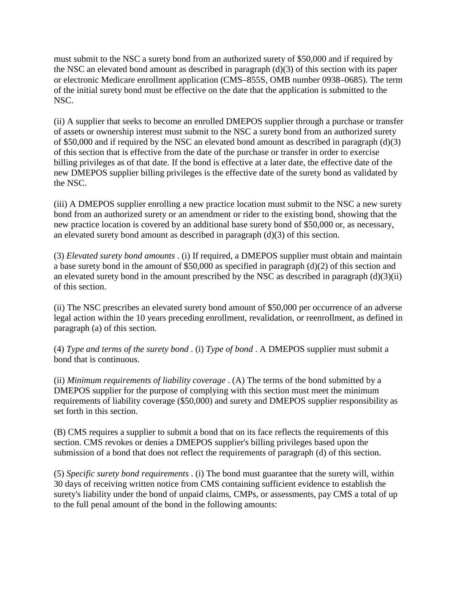must submit to the NSC a surety bond from an authorized surety of \$50,000 and if required by the NSC an elevated bond amount as described in paragraph (d)(3) of this section with its paper or electronic Medicare enrollment application (CMS–855S, OMB number 0938–0685). The term of the initial surety bond must be effective on the date that the application is submitted to the NSC.

(ii) A supplier that seeks to become an enrolled DMEPOS supplier through a purchase or transfer of assets or ownership interest must submit to the NSC a surety bond from an authorized surety of \$50,000 and if required by the NSC an elevated bond amount as described in paragraph (d)(3) of this section that is effective from the date of the purchase or transfer in order to exercise billing privileges as of that date. If the bond is effective at a later date, the effective date of the new DMEPOS supplier billing privileges is the effective date of the surety bond as validated by the NSC.

(iii) A DMEPOS supplier enrolling a new practice location must submit to the NSC a new surety bond from an authorized surety or an amendment or rider to the existing bond, showing that the new practice location is covered by an additional base surety bond of \$50,000 or, as necessary, an elevated surety bond amount as described in paragraph (d)(3) of this section.

(3) *Elevated surety bond amounts* . (i) If required, a DMEPOS supplier must obtain and maintain a base surety bond in the amount of \$50,000 as specified in paragraph (d)(2) of this section and an elevated surety bond in the amount prescribed by the NSC as described in paragraph  $(d)(3)(ii)$ of this section.

(ii) The NSC prescribes an elevated surety bond amount of \$50,000 per occurrence of an adverse legal action within the 10 years preceding enrollment, revalidation, or reenrollment, as defined in paragraph (a) of this section.

(4) *Type and terms of the surety bond* . (i) *Type of bond* . A DMEPOS supplier must submit a bond that is continuous.

(ii) *Minimum requirements of liability coverage* . (A) The terms of the bond submitted by a DMEPOS supplier for the purpose of complying with this section must meet the minimum requirements of liability coverage (\$50,000) and surety and DMEPOS supplier responsibility as set forth in this section.

(B) CMS requires a supplier to submit a bond that on its face reflects the requirements of this section. CMS revokes or denies a DMEPOS supplier's billing privileges based upon the submission of a bond that does not reflect the requirements of paragraph (d) of this section.

(5) *Specific surety bond requirements* . (i) The bond must guarantee that the surety will, within 30 days of receiving written notice from CMS containing sufficient evidence to establish the surety's liability under the bond of unpaid claims, CMPs, or assessments, pay CMS a total of up to the full penal amount of the bond in the following amounts: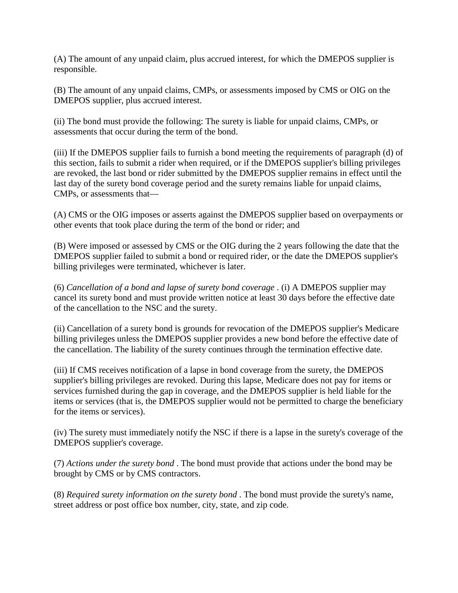(A) The amount of any unpaid claim, plus accrued interest, for which the DMEPOS supplier is responsible.

(B) The amount of any unpaid claims, CMPs, or assessments imposed by CMS or OIG on the DMEPOS supplier, plus accrued interest.

(ii) The bond must provide the following: The surety is liable for unpaid claims, CMPs, or assessments that occur during the term of the bond.

(iii) If the DMEPOS supplier fails to furnish a bond meeting the requirements of paragraph (d) of this section, fails to submit a rider when required, or if the DMEPOS supplier's billing privileges are revoked, the last bond or rider submitted by the DMEPOS supplier remains in effect until the last day of the surety bond coverage period and the surety remains liable for unpaid claims, CMPs, or assessments that—

(A) CMS or the OIG imposes or asserts against the DMEPOS supplier based on overpayments or other events that took place during the term of the bond or rider; and

(B) Were imposed or assessed by CMS or the OIG during the 2 years following the date that the DMEPOS supplier failed to submit a bond or required rider, or the date the DMEPOS supplier's billing privileges were terminated, whichever is later.

(6) *Cancellation of a bond and lapse of surety bond coverage* . (i) A DMEPOS supplier may cancel its surety bond and must provide written notice at least 30 days before the effective date of the cancellation to the NSC and the surety.

(ii) Cancellation of a surety bond is grounds for revocation of the DMEPOS supplier's Medicare billing privileges unless the DMEPOS supplier provides a new bond before the effective date of the cancellation. The liability of the surety continues through the termination effective date.

(iii) If CMS receives notification of a lapse in bond coverage from the surety, the DMEPOS supplier's billing privileges are revoked. During this lapse, Medicare does not pay for items or services furnished during the gap in coverage, and the DMEPOS supplier is held liable for the items or services (that is, the DMEPOS supplier would not be permitted to charge the beneficiary for the items or services).

(iv) The surety must immediately notify the NSC if there is a lapse in the surety's coverage of the DMEPOS supplier's coverage.

(7) *Actions under the surety bond* . The bond must provide that actions under the bond may be brought by CMS or by CMS contractors.

(8) *Required surety information on the surety bond* . The bond must provide the surety's name, street address or post office box number, city, state, and zip code.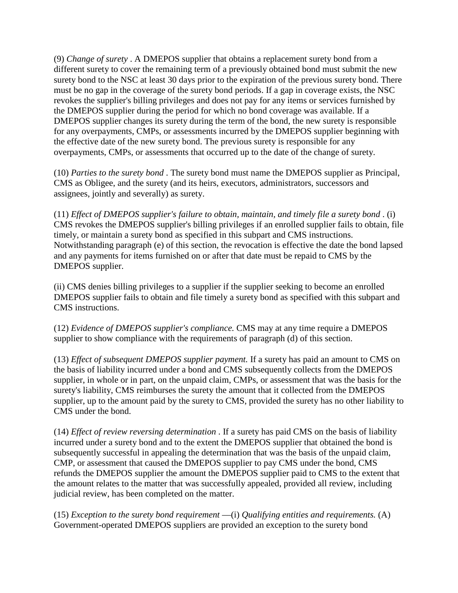(9) *Change of surety* . A DMEPOS supplier that obtains a replacement surety bond from a different surety to cover the remaining term of a previously obtained bond must submit the new surety bond to the NSC at least 30 days prior to the expiration of the previous surety bond. There must be no gap in the coverage of the surety bond periods. If a gap in coverage exists, the NSC revokes the supplier's billing privileges and does not pay for any items or services furnished by the DMEPOS supplier during the period for which no bond coverage was available. If a DMEPOS supplier changes its surety during the term of the bond, the new surety is responsible for any overpayments, CMPs, or assessments incurred by the DMEPOS supplier beginning with the effective date of the new surety bond. The previous surety is responsible for any overpayments, CMPs, or assessments that occurred up to the date of the change of surety.

(10) *Parties to the surety bond* . The surety bond must name the DMEPOS supplier as Principal, CMS as Obligee, and the surety (and its heirs, executors, administrators, successors and assignees, jointly and severally) as surety.

(11) *Effect of DMEPOS supplier's failure to obtain, maintain, and timely file a surety bond* . (i) CMS revokes the DMEPOS supplier's billing privileges if an enrolled supplier fails to obtain, file timely, or maintain a surety bond as specified in this subpart and CMS instructions. Notwithstanding paragraph (e) of this section, the revocation is effective the date the bond lapsed and any payments for items furnished on or after that date must be repaid to CMS by the DMEPOS supplier.

(ii) CMS denies billing privileges to a supplier if the supplier seeking to become an enrolled DMEPOS supplier fails to obtain and file timely a surety bond as specified with this subpart and CMS instructions.

(12) *Evidence of DMEPOS supplier's compliance.* CMS may at any time require a DMEPOS supplier to show compliance with the requirements of paragraph (d) of this section.

(13) *Effect of subsequent DMEPOS supplier payment.* If a surety has paid an amount to CMS on the basis of liability incurred under a bond and CMS subsequently collects from the DMEPOS supplier, in whole or in part, on the unpaid claim, CMPs, or assessment that was the basis for the surety's liability, CMS reimburses the surety the amount that it collected from the DMEPOS supplier, up to the amount paid by the surety to CMS, provided the surety has no other liability to CMS under the bond.

(14) *Effect of review reversing determination* . If a surety has paid CMS on the basis of liability incurred under a surety bond and to the extent the DMEPOS supplier that obtained the bond is subsequently successful in appealing the determination that was the basis of the unpaid claim, CMP, or assessment that caused the DMEPOS supplier to pay CMS under the bond, CMS refunds the DMEPOS supplier the amount the DMEPOS supplier paid to CMS to the extent that the amount relates to the matter that was successfully appealed, provided all review, including judicial review, has been completed on the matter.

(15) *Exception to the surety bond requirement* —(i) *Qualifying entities and requirements.* (A) Government-operated DMEPOS suppliers are provided an exception to the surety bond